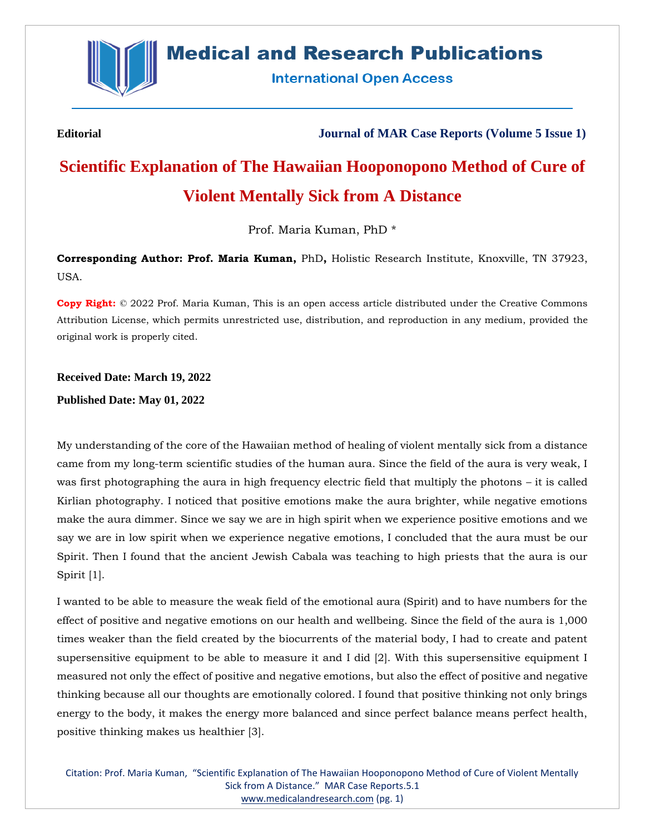

## **Medical and Research Publications**

**International Open Access** 

**Editorial Journal of MAR Case Reports (Volume 5 Issue 1)**

# **Scientific Explanation of The Hawaiian Hooponopono Method of Cure of Violent Mentally Sick from A Distance**

Prof. Maria Kuman, PhD \*

**Corresponding Author: Prof. Maria Kuman,** PhD**,** Holistic Research Institute, Knoxville, TN 37923, USA.

**Copy Right:** © 2022 Prof. Maria Kuman, This is an open access article distributed under the Creative Commons Attribution License, which permits unrestricted use, distribution, and reproduction in any medium, provided the original work is properly cited.

**Received Date: March 19, 2022 Published Date: May 01, 2022**

My understanding of the core of the Hawaiian method of healing of violent mentally sick from a distance came from my long-term scientific studies of the human aura. Since the field of the aura is very weak, I was first photographing the aura in high frequency electric field that multiply the photons – it is called Kirlian photography. I noticed that positive emotions make the aura brighter, while negative emotions make the aura dimmer. Since we say we are in high spirit when we experience positive emotions and we say we are in low spirit when we experience negative emotions, I concluded that the aura must be our Spirit. Then I found that the ancient Jewish Cabala was teaching to high priests that the aura is our Spirit [1].

I wanted to be able to measure the weak field of the emotional aura (Spirit) and to have numbers for the effect of positive and negative emotions on our health and wellbeing. Since the field of the aura is 1,000 times weaker than the field created by the biocurrents of the material body, I had to create and patent supersensitive equipment to be able to measure it and I did [2]. With this supersensitive equipment I measured not only the effect of positive and negative emotions, but also the effect of positive and negative thinking because all our thoughts are emotionally colored. I found that positive thinking not only brings energy to the body, it makes the energy more balanced and since perfect balance means perfect health, positive thinking makes us healthier [3].

Citation: Prof. Maria Kuman, "Scientific Explanation of The Hawaiian Hooponopono Method of Cure of Violent Mentally Sick from A Distance." MAR Case Reports.5.1 [www.medicalandresearch.com](http://www.medicalandresearch.com/) (pg. 1)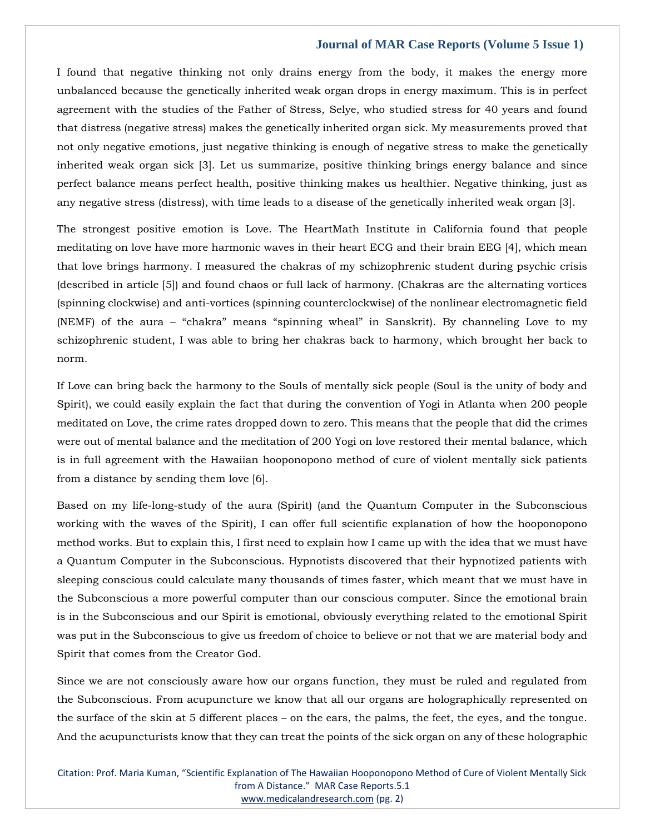I found that negative thinking not only drains energy from the body, it makes the energy more unbalanced because the genetically inherited weak organ drops in energy maximum. This is in perfect agreement with the studies of the Father of Stress, Selye, who studied stress for 40 years and found that distress (negative stress) makes the genetically inherited organ sick. My measurements proved that not only negative emotions, just negative thinking is enough of negative stress to make the genetically inherited weak organ sick [3]. Let us summarize, positive thinking brings energy balance and since perfect balance means perfect health, positive thinking makes us healthier. Negative thinking, just as any negative stress (distress), with time leads to a disease of the genetically inherited weak organ [3].

The strongest positive emotion is Love. The HeartMath Institute in California found that people meditating on love have more harmonic waves in their heart ECG and their brain EEG [4], which mean that love brings harmony. I measured the chakras of my schizophrenic student during psychic crisis (described in article [5]) and found chaos or full lack of harmony. (Chakras are the alternating vortices (spinning clockwise) and anti-vortices (spinning counterclockwise) of the nonlinear electromagnetic field (NEMF) of the aura – "chakra" means "spinning wheal" in Sanskrit). By channeling Love to my schizophrenic student, I was able to bring her chakras back to harmony, which brought her back to norm.

If Love can bring back the harmony to the Souls of mentally sick people (Soul is the unity of body and Spirit), we could easily explain the fact that during the convention of Yogi in Atlanta when 200 people meditated on Love, the crime rates dropped down to zero. This means that the people that did the crimes were out of mental balance and the meditation of 200 Yogi on love restored their mental balance, which is in full agreement with the Hawaiian hooponopono method of cure of violent mentally sick patients from a distance by sending them love [6].

Based on my life-long-study of the aura (Spirit) (and the Quantum Computer in the Subconscious working with the waves of the Spirit), I can offer full scientific explanation of how the hooponopono method works. But to explain this, I first need to explain how I came up with the idea that we must have a Quantum Computer in the Subconscious. Hypnotists discovered that their hypnotized patients with sleeping conscious could calculate many thousands of times faster, which meant that we must have in the Subconscious a more powerful computer than our conscious computer. Since the emotional brain is in the Subconscious and our Spirit is emotional, obviously everything related to the emotional Spirit was put in the Subconscious to give us freedom of choice to believe or not that we are material body and Spirit that comes from the Creator God.

Since we are not consciously aware how our organs function, they must be ruled and regulated from the Subconscious. From acupuncture we know that all our organs are holographically represented on the surface of the skin at 5 different places – on the ears, the palms, the feet, the eyes, and the tongue. And the acupuncturists know that they can treat the points of the sick organ on any of these holographic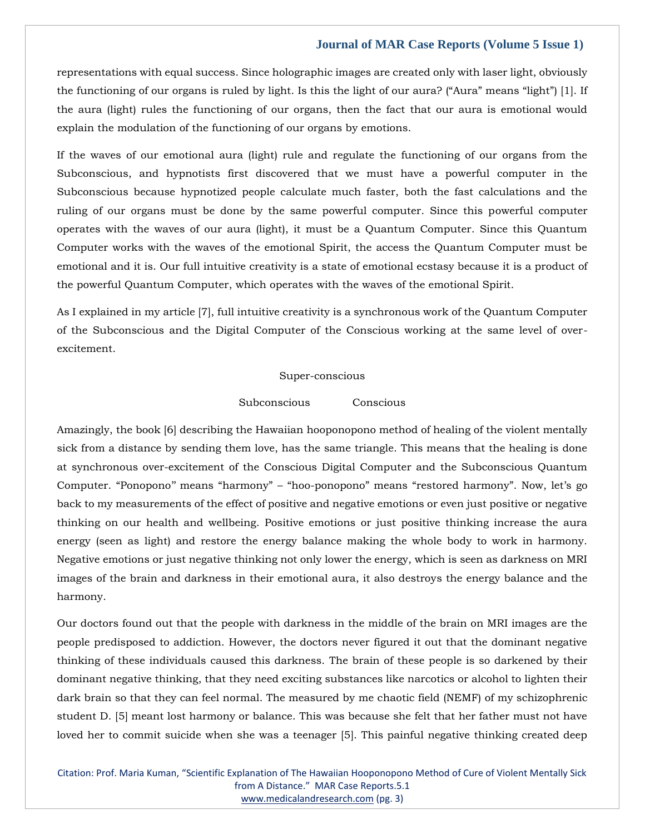representations with equal success. Since holographic images are created only with laser light, obviously the functioning of our organs is ruled by light. Is this the light of our aura? ("Aura" means "light") [1]. If the aura (light) rules the functioning of our organs, then the fact that our aura is emotional would explain the modulation of the functioning of our organs by emotions.

If the waves of our emotional aura (light) rule and regulate the functioning of our organs from the Subconscious, and hypnotists first discovered that we must have a powerful computer in the Subconscious because hypnotized people calculate much faster, both the fast calculations and the ruling of our organs must be done by the same powerful computer. Since this powerful computer operates with the waves of our aura (light), it must be a Quantum Computer. Since this Quantum Computer works with the waves of the emotional Spirit, the access the Quantum Computer must be emotional and it is. Our full intuitive creativity is a state of emotional ecstasy because it is a product of the powerful Quantum Computer, which operates with the waves of the emotional Spirit.

As I explained in my article [7], full intuitive creativity is a synchronous work of the Quantum Computer of the Subconscious and the Digital Computer of the Conscious working at the same level of overexcitement.

#### Super-conscious

#### Subconscious Conscious

Amazingly, the book [6] describing the Hawaiian hooponopono method of healing of the violent mentally sick from a distance by sending them love, has the same triangle. This means that the healing is done at synchronous over-excitement of the Conscious Digital Computer and the Subconscious Quantum Computer. "Ponopono'' means "harmony" – "hoo-ponopono" means "restored harmony". Now, let's go back to my measurements of the effect of positive and negative emotions or even just positive or negative thinking on our health and wellbeing. Positive emotions or just positive thinking increase the aura energy (seen as light) and restore the energy balance making the whole body to work in harmony. Negative emotions or just negative thinking not only lower the energy, which is seen as darkness on MRI images of the brain and darkness in their emotional aura, it also destroys the energy balance and the harmony.

Our doctors found out that the people with darkness in the middle of the brain on MRI images are the people predisposed to addiction. However, the doctors never figured it out that the dominant negative thinking of these individuals caused this darkness. The brain of these people is so darkened by their dominant negative thinking, that they need exciting substances like narcotics or alcohol to lighten their dark brain so that they can feel normal. The measured by me chaotic field (NEMF) of my schizophrenic student D. [5] meant lost harmony or balance. This was because she felt that her father must not have loved her to commit suicide when she was a teenager [5]. This painful negative thinking created deep

Citation: Prof. Maria Kuman, "Scientific Explanation of The Hawaiian Hooponopono Method of Cure of Violent Mentally Sick from A Distance." MAR Case Reports.5.1 [www.medicalandresearch.com](http://www.medicalandresearch.com/) (pg. 3)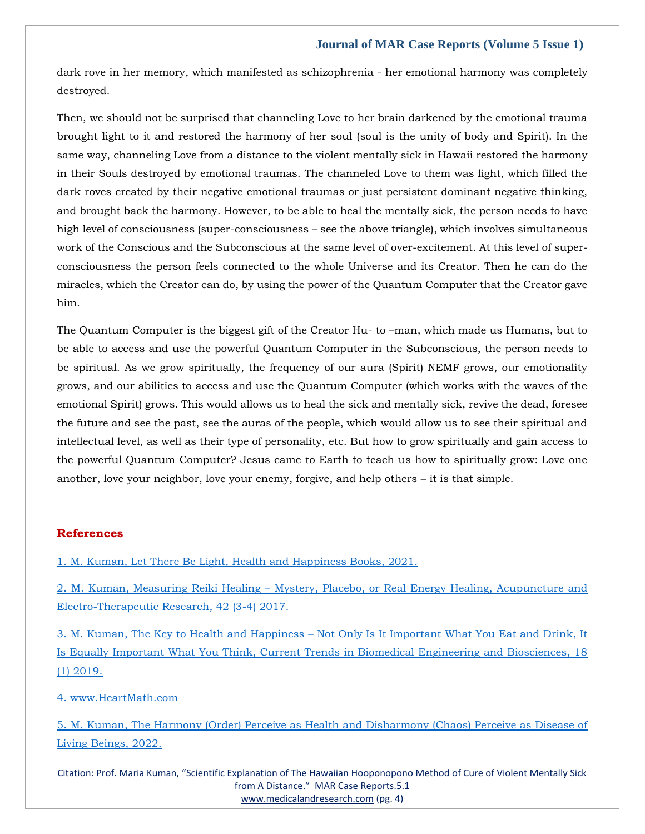dark rove in her memory, which manifested as schizophrenia - her emotional harmony was completely destroyed.

Then, we should not be surprised that channeling Love to her brain darkened by the emotional trauma brought light to it and restored the harmony of her soul (soul is the unity of body and Spirit). In the same way, channeling Love from a distance to the violent mentally sick in Hawaii restored the harmony in their Souls destroyed by emotional traumas. The channeled Love to them was light, which filled the dark roves created by their negative emotional traumas or just persistent dominant negative thinking, and brought back the harmony. However, to be able to heal the mentally sick, the person needs to have high level of consciousness (super-consciousness – see the above triangle), which involves simultaneous work of the Conscious and the Subconscious at the same level of over-excitement. At this level of superconsciousness the person feels connected to the whole Universe and its Creator. Then he can do the miracles, which the Creator can do, by using the power of the Quantum Computer that the Creator gave him.

The Quantum Computer is the biggest gift of the Creator Hu- to –man, which made us Humans, but to be able to access and use the powerful Quantum Computer in the Subconscious, the person needs to be spiritual. As we grow spiritually, the frequency of our aura (Spirit) NEMF grows, our emotionality grows, and our abilities to access and use the Quantum Computer (which works with the waves of the emotional Spirit) grows. This would allows us to heal the sick and mentally sick, revive the dead, foresee the future and see the past, see the auras of the people, which would allow us to see their spiritual and intellectual level, as well as their type of personality, etc. But how to grow spiritually and gain access to the powerful Quantum Computer? Jesus came to Earth to teach us how to spiritually grow: Love one another, love your neighbor, love your enemy, forgive, and help others – it is that simple.

#### **References**

1. M. [Kuman, Let There Be Light, Health and Happiness Books, 2021.](https://www.google.com/search?q=let+there+be+light&oq=Let+There+Be+Light&aqs=chrome.0.0i512l4j46i512j0i512l2j46i512j0i512l2.483j0j4&sourceid=chrome&ie=UTF-8)

2. M. Kuman, Measuring Reiki Healing – [Mystery, Placebo, or Real Energy Healing, Acupuncture and](https://www.google.com/search?q=Measuring+Reiki+Healing+%E2%80%93+Mystery%2C+Placebo%2C+or+Real+Energy+Healing%2C+Acupuncture+and+Electro-Therapeutic+Research%2C+&sxsrf=APq-WBuL4mgiXmIsFDq3Ecfl8zvbvXT5Dw%3A1651050059494&ei=SwZpYuPfHc7Dz7sP_5O8iA4&ved=0ahUKEwijsbXi8LP3AhXO4XMBHf8JD-EQ4dUDCA4&oq=Measuring+Reiki+Healing+%E2%80%93+Mystery%2C+Placebo%2C+or+Real+Energy+Healing%2C+Acupuncture+and+Electro-Therapeutic+Research%2C+&gs_lcp=Cgdnd3Mtd2l6EAwyBwgjEOoCECcyBwgjEOoCECcyBwgjEOoCECcyBwgjEOoCECcyBwgjEOoCECcyBwgjEOoCECcyBwgjEOoCECcyBwgjEOoCECcyBwgjEOoCECcyBwgjEOoCECdKBAhBGABKBAhGGABQlgNYlgNg_ghoAXABeACAAQCIAQCSAQCYAQCgAQGgAQKwAQrAAQE&sclient=gws-wiz)  [Electro-Therapeutic Research, 42 \(3-4\) 2017.](https://www.google.com/search?q=Measuring+Reiki+Healing+%E2%80%93+Mystery%2C+Placebo%2C+or+Real+Energy+Healing%2C+Acupuncture+and+Electro-Therapeutic+Research%2C+&sxsrf=APq-WBuL4mgiXmIsFDq3Ecfl8zvbvXT5Dw%3A1651050059494&ei=SwZpYuPfHc7Dz7sP_5O8iA4&ved=0ahUKEwijsbXi8LP3AhXO4XMBHf8JD-EQ4dUDCA4&oq=Measuring+Reiki+Healing+%E2%80%93+Mystery%2C+Placebo%2C+or+Real+Energy+Healing%2C+Acupuncture+and+Electro-Therapeutic+Research%2C+&gs_lcp=Cgdnd3Mtd2l6EAwyBwgjEOoCECcyBwgjEOoCECcyBwgjEOoCECcyBwgjEOoCECcyBwgjEOoCECcyBwgjEOoCECcyBwgjEOoCECcyBwgjEOoCECcyBwgjEOoCECcyBwgjEOoCECdKBAhBGABKBAhGGABQlgNYlgNg_ghoAXABeACAAQCIAQCSAQCYAQCgAQGgAQKwAQrAAQE&sclient=gws-wiz)

3. M. Kuman, The Key to Health and Happiness – [Not Only Is It Important What You Eat and Drink, It](https://www.google.com/search?q=The+Key+to+Health+and+Happiness+%E2%80%93+Not+Only+Is+It+Important+What+You+Eat+and+Drink%2C+It+Is+Equally+Important+What+You+Think%2C+Current+Trends+in+Biomedical+Engineering+and+Biosciences&sxsrf=APq-WBtpYHrIlF7MgWlIA_aNumT-NQfDnw%3A1651050084697&ei=ZAZpYsaYKuLA3LUP4pWLmAo&ved=0ahUKEwjG2rfu8LP3AhViILcAHeLKAqMQ4dUDCA4&oq=The+Key+to+Health+and+Happiness+%E2%80%93+Not+Only+Is+It+Important+What+You+Eat+and+Drink%2C+It+Is+Equally+Important+What+You+Think%2C+Current+Trends+in+Biomedical+Engineering+and+Biosciences&gs_lcp=Cgdnd3Mtd2l6EAwyBwgjEOoCECcyBwgjEOoCECcyBwgjEOoCECcyBwgjEOoCECcyBwgjEOoCECcyBwgjEOoCECcyBwgjEOoCECcyBwgjEOoCECcyBwgjEOoCECcyBwgjEOoCECdKBAhBGABKBAhGGABQ3QJY3QJgywdoAXABeACAAQCIAQCSAQCYAQCgAQGgAQKwAQrAAQE&sclient=gws-wiz)  [Is Equally Important What You Think, Current Trends in Biomedical Engineering and Biosciences, 18](https://www.google.com/search?q=The+Key+to+Health+and+Happiness+%E2%80%93+Not+Only+Is+It+Important+What+You+Eat+and+Drink%2C+It+Is+Equally+Important+What+You+Think%2C+Current+Trends+in+Biomedical+Engineering+and+Biosciences&sxsrf=APq-WBtpYHrIlF7MgWlIA_aNumT-NQfDnw%3A1651050084697&ei=ZAZpYsaYKuLA3LUP4pWLmAo&ved=0ahUKEwjG2rfu8LP3AhViILcAHeLKAqMQ4dUDCA4&oq=The+Key+to+Health+and+Happiness+%E2%80%93+Not+Only+Is+It+Important+What+You+Eat+and+Drink%2C+It+Is+Equally+Important+What+You+Think%2C+Current+Trends+in+Biomedical+Engineering+and+Biosciences&gs_lcp=Cgdnd3Mtd2l6EAwyBwgjEOoCECcyBwgjEOoCECcyBwgjEOoCECcyBwgjEOoCECcyBwgjEOoCECcyBwgjEOoCECcyBwgjEOoCECcyBwgjEOoCECcyBwgjEOoCECcyBwgjEOoCECdKBAhBGABKBAhGGABQ3QJY3QJgywdoAXABeACAAQCIAQCSAQCYAQCgAQGgAQKwAQrAAQE&sclient=gws-wiz)  [\(1\) 2019.](https://www.google.com/search?q=The+Key+to+Health+and+Happiness+%E2%80%93+Not+Only+Is+It+Important+What+You+Eat+and+Drink%2C+It+Is+Equally+Important+What+You+Think%2C+Current+Trends+in+Biomedical+Engineering+and+Biosciences&sxsrf=APq-WBtpYHrIlF7MgWlIA_aNumT-NQfDnw%3A1651050084697&ei=ZAZpYsaYKuLA3LUP4pWLmAo&ved=0ahUKEwjG2rfu8LP3AhViILcAHeLKAqMQ4dUDCA4&oq=The+Key+to+Health+and+Happiness+%E2%80%93+Not+Only+Is+It+Important+What+You+Eat+and+Drink%2C+It+Is+Equally+Important+What+You+Think%2C+Current+Trends+in+Biomedical+Engineering+and+Biosciences&gs_lcp=Cgdnd3Mtd2l6EAwyBwgjEOoCECcyBwgjEOoCECcyBwgjEOoCECcyBwgjEOoCECcyBwgjEOoCECcyBwgjEOoCECcyBwgjEOoCECcyBwgjEOoCECcyBwgjEOoCECcyBwgjEOoCECdKBAhBGABKBAhGGABQ3QJY3QJgywdoAXABeACAAQCIAQCSAQCYAQCgAQGgAQKwAQrAAQE&sclient=gws-wiz)

4. [www.HeartMath.com](file:///C:/Users/Arief%20Mahimudh/Desktop/April/CR/4.%20www.HeartMath.com)

5. [M. Kuman, The Harmony \(Order\) Perceive as Health and Disharmony \(Chaos\) Perceive as Disease of](https://www.google.com/search?q=The+Harmony+%28Order%29+Perceive+as+Health+and+Disharmony+%28Chaos%29+Perceive+as+Disease+of+Living+Beings&sxsrf=APq-WBs1CylT1A01GOpGPJuTNp5RkvYwjQ%3A1651050114105&ei=ggZpYr6PBsPB3LUP5aS94AY&ved=0ahUKEwi-2Lr88LP3AhXDILcAHWVSD2wQ4dUDCA4&oq=The+Harmony+%28Order%29+Perceive+as+Health+and+Disharmony+%28Chaos%29+Perceive+as+Disease+of+Living+Beings&gs_lcp=Cgdnd3Mtd2l6EAw6BwgjEOoCECdKBAhBGABKBAhGGABQ1QJY1QJg4AZoAXAAeACAAWyIAWySAQMwLjGYAQCgAQGgAQKwAQrAAQE&sclient=gws-wiz)  [Living Beings, 2022.](https://www.google.com/search?q=The+Harmony+%28Order%29+Perceive+as+Health+and+Disharmony+%28Chaos%29+Perceive+as+Disease+of+Living+Beings&sxsrf=APq-WBs1CylT1A01GOpGPJuTNp5RkvYwjQ%3A1651050114105&ei=ggZpYr6PBsPB3LUP5aS94AY&ved=0ahUKEwi-2Lr88LP3AhXDILcAHWVSD2wQ4dUDCA4&oq=The+Harmony+%28Order%29+Perceive+as+Health+and+Disharmony+%28Chaos%29+Perceive+as+Disease+of+Living+Beings&gs_lcp=Cgdnd3Mtd2l6EAw6BwgjEOoCECdKBAhBGABKBAhGGABQ1QJY1QJg4AZoAXAAeACAAWyIAWySAQMwLjGYAQCgAQGgAQKwAQrAAQE&sclient=gws-wiz)

Citation: Prof. Maria Kuman, "Scientific Explanation of The Hawaiian Hooponopono Method of Cure of Violent Mentally Sick from A Distance." MAR Case Reports.5.1 [www.medicalandresearch.com](http://www.medicalandresearch.com/) (pg. 4)